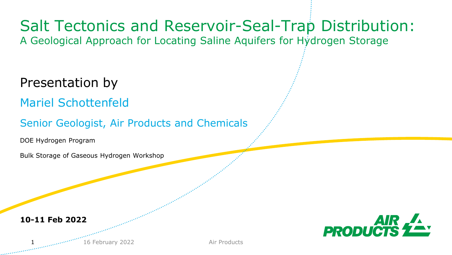## Salt Tectonics and Reservoir-Seal-Trap Distribution:

A Geological Approach for Locating Saline Aquifers for Hydrogen Storage

Presentation by

Mariel Schottenfeld

Senior Geologist, Air Products and Chemicals

DOE Hydrogen Program

Bulk Storage of Gaseous Hydrogen Workshop

**10-11 Feb 2022**





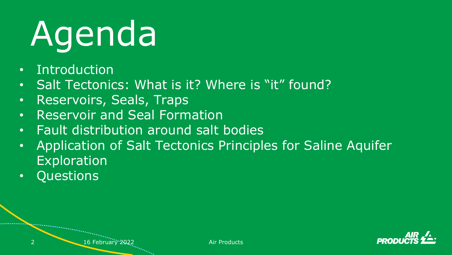# Agenda

- Introduction
- Salt Tectonics: What is it? Where is "it" found?
- Reservoirs, Seals, Traps
- Reservoir and Seal Formation
- Fault distribution around salt bodies
- Application of Salt Tectonics Principles for Saline Aquifer Exploration
- Questions

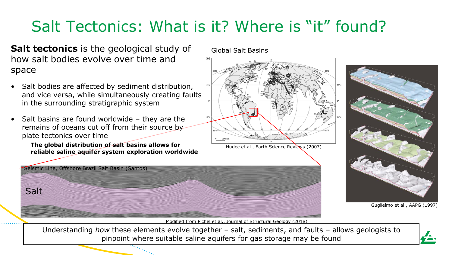### Salt Tectonics: What is it? Where is "it" found?

**Salt tectonics** is the geological study of how salt bodies evolve over time and space

- Salt bodies are affected by sediment distribution, and vice versa, while simultaneously creating faults in the surrounding stratigraphic system
- Salt basins are found worldwide they are the remains of oceans cut off from their source by plate tectonics over time
	- The global distribution of salt basins allows for **reliable saline aquifer system exploration worldwide**

Global Salt Basins



Hudec et al., Earth Science Reviews (2007)





Guglielmo et al., AAPG (1997)

Modified from Pichel et al., Journal of Structural Geology (2018)

pinpoint where suitable saline aquifers for gas storage may be found Understanding *how* these elements evolve together – salt, sediments, and faults – allows geologists to

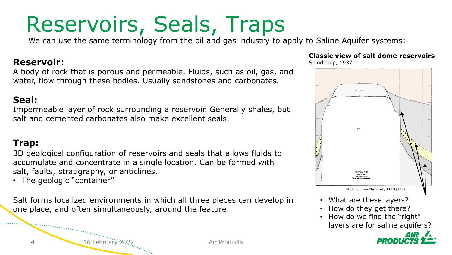# Reservoirs, Seals, Traps

We can use the same terminology from the oil and gas industry to apply to Saline Aquifer systems:

#### **Reservoir**:

A body of rock that is porous and permeable. Fluids, such as oil, gas, and water, flow through these bodies. Usually sandstones and carbonates*.*

#### **Seal:**

Impermeable layer of rock surrounding a reservoir. Generally shales, but salt and cemented carbonates also make excellent seals.

#### **Trap:**

3D geological configuration of reservoirs and seals that allows fluids to accumulate and concentrate in a single location. Can be formed with salt, faults, stratigraphy, or anticlines.

• The geologic "container"

Salt forms localized environments in which all three pieces can develop in one place, and often simultaneously, around the feature.

#### **Classic view of salt dome reservoirs**

Spindletop, 1937



- What are these layers?
- How do they get there?
- How do we find the "right" layers are for saline aquifers?



4 16 February 2022 **Air Products**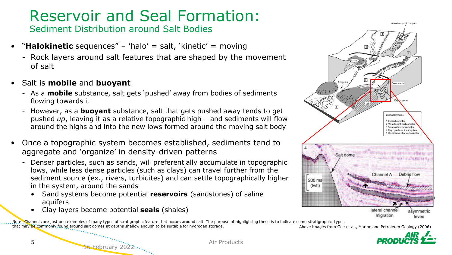### Reservoir and Seal Formation:

Sediment Distribution around Salt Bodies

- "**Halokinetic** sequences" 'halo' = salt, 'kinetic' = moving
	- Rock layers around salt features that are shaped by the movement of salt
- Salt is **mobile** and **buoyant**
	- As a **mobile** substance, salt gets 'pushed' away from bodies of sediments flowing towards it
	- However, as a **buoyant** substance, salt that gets pushed away tends to get pushed *up*, leaving it as a relative topographic high – and sediments will flow around the highs and into the new lows formed around the moving salt body
- Once a topographic system becomes established, sediments tend to aggregate and 'organize' in density-driven patterns
	- Denser particles, such as sands, will preferentially accumulate in topographic lows, while less dense particles (such as clays) can travel further from the sediment source (ex., rivers, turbidites) and can settle topographically higher in the system, around the sands
		- Sand systems become potential **reservoirs** (sandstones) of saline aquifers
		- Clay layers become potential **seals** (shales)

16 February 2022

Above images from Gee et al., Marine and Petroleum Geology (2006) Note: Channels are just one examples of many types of stratigraphic feature that occurs around salt. The purpose of highlighting these is to indicate some stratigraphic types that may be commonly found around salt domes at depths shallow enough to be suitable for hydrogen storage.



5 Air Products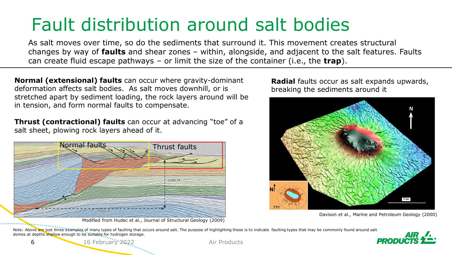# Fault distribution around salt bodies

As salt moves over time, so do the sediments that surround it. This movement creates structural changes by way of **faults** and shear zones – within, alongside, and adjacent to the salt features. Faults can create fluid escape pathways – or limit the size of the container (i.e., the **trap**).

**Normal (extensional) faults** can occur where gravity-dominant deformation affects salt bodies. As salt moves downhill, or is stretched apart by sediment loading, the rock layers around will be in tension, and form normal faults to compensate.

**Thrust (contractional) faults** can occur at advancing "toe" of a salt sheet, plowing rock layers ahead of it.



Modified from Hudec et al., Journal of Structural Geology (2009)

**Radial** faults occur as salt expands upwards, breaking the sediments around it



Davison et al., Marine and Petroleum Geology (2000)

Note: Above are just three examples of many types of faulting that occurs around salt. The purpose of highlighting these is to indicate faulting types that may be commonly found around salt domes at depths shallow enough to be suitable for hydrogen storage.

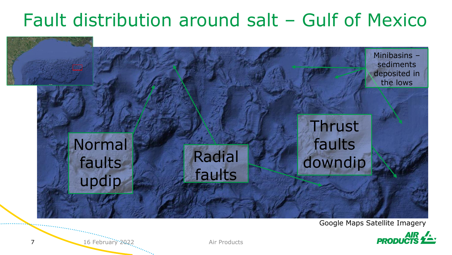# Fault distribution around salt – Gulf of Mexico



#### Google Maps Satellite Imagery



7 16 February 2022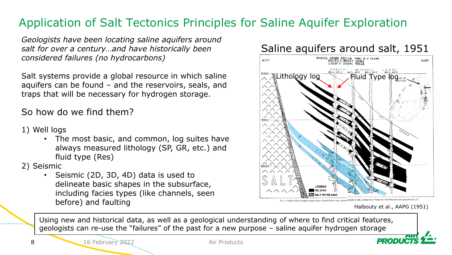#### Application of Salt Tectonics Principles for Saline Aquifer Exploration

*Geologists have been locating saline aquifers around salt for over a century…and have historically been considered failures (no hydrocarbons)*

Salt systems provide a global resource in which saline aquifers can be found – and the reservoirs, seals, and traps that will be necessary for hydrogen storage.

So how do we find them?

- 1) Well logs
	- The most basic, and common, log suites have always measured lithology (SP, GR, etc.) and fluid type (Res)

2) Seismic

• Seismic (2D, 3D, 4D) data is used to delineate basic shapes in the subsurface, including facies types (like channels, seen before) and faulting



Using new and historical data, as well as a geological understanding of where to find critical features, geologists can re-use the "failures" of the past for a new purpose – saline aquifer hydrogen storage

16 February 2022 Air Products

Halbouty et al., AAPG (1951)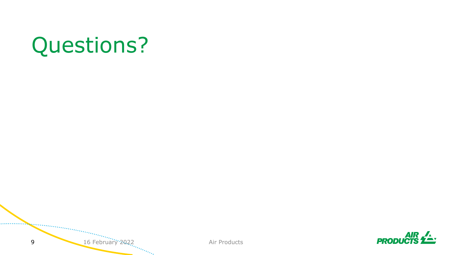